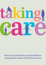

# How local authorities can best address immigration issues of children in care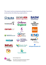# This report and accompanying pledge have been endorsed by the following organisations

















COPOM CIC













Acknowledgements

This report was produced with the support of The Esmée Fairbairn Foundation



**The** Children's **Society** 







advocacy service gwasanaeth eiriolaeth ieuenctid cenedlaethol

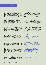# Aisha's story

Aisha had lived in the UK from the age of six and was taken into care when she had just turned 13 years old. Aisha did not know that she had been brought to the UK on a temporary visa as a child, and that her family had overstayed the end of the visa. Her local authority suspected that her family had no immigration status, and they had been told that Aisha could not get a British passport as she was not a British citizen. No one within children's services knew how to resolve this, and no action was taken.

Aisha still had no immigration status when she turned 18. This meant that she could not work, could not get a student loan, could not claim benefits and was barred in every practical way from leading an independent life. When Aisha's universal credit application was rejected, her local authority sought legal advice from an immigration adviser, who advised that Aisha could make an application to obtain legal immigration status. However, because she was no longer under 18 it was too late for any of the simpler and quicker routes to immigration status or citizenship which had been available to Aisha as a looked after child.

Instead, aged 18 Aisha was given an expensive form of temporary immigration status, which she will have to renew many times before her immigration status in the UK is made permanent. This will take at least five years and cost thousands of pounds - fees Aisha as a care leaver and student cannot afford, and which the local authority will therefore have to pay to prevent further harm. Her temporary immigration status gives her the right to work and study and will eventually enable her to get a student loan, but by default this status bars her from claiming benefits. This means that in order to prevent her from becoming homeless,

1

her local authority must provide considerable financial support to Aisha until she is able to apply for a permanent form of immigration status and can claim mainstream benefits.

If Aisha's local authority had sought legal advice from an immigration adviser when she was still a looked after child, Aisha would have had more options to apply for more secure forms of immigration status or British citizenship, which would have been either fee-free or cost a lower one-off fee. Aisha would then have left care with her status or citizenship secured, able to work, study, claim benefits and build an independent life. Aisha would have been spared the mental health toll of years in limbo, unable to plan for her future. On top of this, according to analysis within this report, early action by her local authority would have saved children's services more than £130,000.\*

This report shows all that both looked after children and the local authorities supporting them stand to gain from resolving immigration and nationality issues early. It also explains how: through a four-stage process of (1) identifying children, (2) connecting them with the help they need, (3) providing proactive support and (4) focusing on permanent status.

The immigration support pledge asks local authorities to commit to helping children to overcome the barrier of lack of immigration status or citizenship so that they can build stable, independent lives in the UK after a childhood in care.

\*See pages 16-18 for a full analysis of the cost to local authorities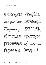# Introduction

Aisha is not alone; England's care population is made up of children with many nationalities and immigration statuses. By the end of 2021 there were at least 19,000 children in care and care leavers known to have an immigration or citizenship issue in England. Data show that at least one in ten children in care in England are non-British.

These figures show the scale of this issue. But they hide the fact that this is not something experienced only in cities. Instead, our data suggest that there are non-British children in care and care leavers in every local authority in England.

Unfortunately, immigration and nationality issues bring risk of serious harm to children, and can totally undermine the benefits a child might otherwise experience from being in care. What this means is that local authorities cannot afford not to have a plan for how to meet immigration or nationality needs, in just the same way that they would not hesitate to meet a need such as housing, health or education.

In this report we show that early identification and resolution of immigration and nationality issues is both cost-effective and a critical step in safeguarding and supporting children's and care leavers' futures in the UK. A lack of permanent status or citizenship can affect a young person's sense of identity and belonging, impacting on their mental health, and put them at risk of destitution and exploitation when leaving care. Some of these children - the unluckiest - may in time be ripped from their home and removed to a country they did not grow up in.

We also show that the benefits to local authorities taking a rigorous, systematic and proactive approach can be huge. A cost analysis within this report shows potential savings through early intervention of more than £130,000 per child in some scenarios.

The coalition of organisations that have endorsed this report are asking local authorities to adopt the immigration support pledge to identify, connect, provide proactive support and seek permanence for all their children and young people with immigration needs. This is a commitment to attaining the best legal status possible for these young people, and by doing so fulfilling their best interests and securing their rights. A public pledge by elected council leaders was [tested](https://www.manchester.gov.uk/news/article/8729/council_renews_its_commitment_to_help_children_and_young_people_affected_by_brexit_immigration_changes) as a means of bridging the gaps in support for non-British children in Manchester in 2020. The effects of committing to support children with immigration and nationality issues have been transformative. Children and young people have received help earlier, leading to a sense of early permanence, which has helped them thrive and avoid hardships experienced by young people like Aisha.

Immigration and nationality issues can present serious additional challenges to local authorities and frontline staff in children's services. The four pillars of the immigration support pledge aim to make meeting these challenges as simple, straightforward and cost-effective as possible. This report also demonstrates the support and guidance available to local authorities beginning the journey towards implementing this pledge.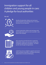# Immigration support for all children and young people in care: A pledge for local authorities

#### We will:



identify all looked after children and care leavers with immigration and nationality issues - if we don't find them we can't help them



connect looked after children and care leavers with good quality legal support as soon as possible - early advice is life changing



take a proactive and informed role in supporting looked after children and care leavers through any immigration applications and appeals – we will be by their side through the legal process



enable those who are eligible to apply for permanent status and British citizenship - all children and young people deserve security and belonging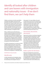# Identify all looked after children and care leavers with immigration and nationality issues - if we don't find them, we can't help them

Children can be born in the UK, seem British, and speak only English, and still not have permission to be here. The good news is that the earlier this is picked up, the easier it is to meet this need and prevent serious problems arising, including enormous financial costs to local authorities. The first step is for social workers never to assume anything about a child's nationality or immigration status.

When a child becomes looked after, key questions about who they are and what they need are asked by children's services and the family courts. Although immigration and nationality questions are not routinely asked at the moment, changing systems could be as straightforward as asking one extra question as the child comes into care: Does this child or young person hold a British passport?

If a child or young person in care does not hold a British passport, then their social worker should normally help them to obtain one. If they are not eligible for a British passport, then asking this simple question can shine a light on which children and young people in care have an immigration or nationality need.

#### Identification: Key principles

### Identify early

A child's nationality and immigration status is normally - but not always - dependent on the nationality and immigration status of

their parents. For many children, the point at which they come into care is the best (and perhaps only) opportunity to get information and documents from their parents. Early identification is also what makes early intervention possible. This is important because opportunities to resolve a child's immigration status or obtain British citizenship shrink dramatically when they turn 18.

### Documents, documents, documents

Paperwork is the key to resolving immigration issues and obtaining citizenship. If a child's immigration status or citizenship cannot be proven with the right paperwork, even if that child is British, then there is work still to do. It is often possible to obtain documents necessary to resolving immigration and nationality issues at the point at which children come into care, either from the child's parents or from the Family Court, whilst in contrast it would be more difficult or impossible to obtain those documents later.

### Build a system for the future

Many local authorities do not yet have a system for recording or keeping track of the nationality or immigration status of children and young people. Positively, however, some are adapting their IT systems by adding fields for nationality and immigration status on a child's records which must be filled out by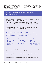social workers, strictly for internal use. But this must not be a 'tick-box' exercise, and good record-keeping is not enough on its own. Integrating immigration and nationality questions into care and pathway planning means that this information can be put to use in securing permanent status for each child.

# How many looked after children and care leavers are not British citizens?

In 2020 there were 80,850 looked after children in England and an estimated 42,950 care leavers aged between 18 and 21 supported by local authorities. But how many looked after children and care leavers are not British citizens?

In late 2021 all 152 English local authorities with children's services were contacted and 116 responded to FOI requests on the numbers of children and young people in care identified as being non-British as of July 2021. The data below comes from these responses, as well as information provided to the Home Office on the EU settlement scheme (by 149 local authorities) and on unaccompanied asylum-seeking children (by 152 local authorities). In total, $1$  they reported that:

At least 18,934 looked after children and care leavers are not British citizens, meaning they have a potential immigration or nationality issue to be resolved. Of this number, at least 7733 are looked after children under the age of 18. 2

That is 1 in 10 looked after children

More than 10,000 care leavers

Equivalent to  $: 15\%$ of the reported number of

looked after children and care leavers in England<sup>3</sup>

These children and young people are in every corner of England: only the Isles of Scilly reported having no non-British children or young people in their care.

<sup>1.</sup> These numbers are an indication of the scale of the challenge faced by local authorities, but should not be assumed to be accurate. This is because they are self-reported, and rely on social workers already having identified a child or young person's nationality or immigration status. The categories above are also not 'bright lines', and children can fall into more than one.

<sup>2.</sup> Numbers in FOI responses are sometimes rounded to protect the identity of individuals.

<sup>3.</sup> 'Equivalent' because the data sets are not totally comparable. Although we know how many looked after children there are in England, the government only publishes the overall number of care leavers aged between 18 and 21 who are still receiving support. However, care leavers are entitled to support until they turn 25 in some circumstances and the FOI data reflect this.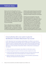# Fatima's story

Fatima came to the UK aged four. She was taken into care as a teenager, but no questions were asked about her immigration status or citizenship. Fatima thinks of herself as British; she has a local British accent and she likes hip hop and dancing. It was only after she reached the age of 18 and started applying for colleges and jobs that it became apparent that she has no immigration status. The Home Office could find no record of her at all and she is not able to prove her identity.

Now an adult, there are no straightforward options available to Fatima to obtain either immigration status or citizenship. All options available are either very expensive or uncertain to succeed. Eventually Fatima was advised by a solicitor to claim asylum because she would be at risk of female genital mutilation if she were returned to her country of origin. Her claim is ongoing and is likely to take years to be decided.

If Fatima's lack of immigration status had been addressed while she was a child, she could have applied to be registered as a British citizen while she was under 18. There would have been a fee of £1012. This represents a huge saving compared to the situation that she has ended up in. As a care leaver, Fatima is totally reliant on local authority support and will be likely to remain in this situation for years to come. Her uncertain situation has had a profoundly negative impact on her wellbeing, mental health and future prospects.

# A local authority with a new system in place for identification of children (Manchester City Council)

In 2021 Manchester City Council signed a public pledge to its children in care and care leavers with immigration and nationality needs. To make good on the pledge, the Council needed to be able to confidently identify which children and young people required this support. Currently, the Department for Education does not ask local authorities to collect information on the nationality of looked after children. So Manchester is developing its own systems:

adding nationality and immigration status fields to its information systems

running management reports on the data to provide oversight and scrutiny

working with Greater Manchester Immigration Aid Unit to develop training for staff on what nationality means and what paperwork is needed to evidence it

adding immigration and nationality needs into checks provided by Legal Gateway Meetings and Independent Reviewing Officers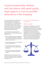# Connect looked after children and care leavers with good quality legal support as soon as possible early advice is life changing

Once a local authority has identified a child or young person in their care who may have an immigration or nationality issue, someone needs to assess what legal options are available and give the child or young person (or their guardian / corporate parent) the advice they need to make an informed decision about their options. This means seeking good quality legal advice.

Local authorities have approached the question of how to secure quality legal advice in different ways:

Some local authorities have arrangements with local legal organisations, with whom they work closely to help their looked after children and care leavers

Some local authorities have an immigration lawyer in their legal team

Local authorities in some regions have pooled funds to contract a legal expert to advise them

Social workers in some local authorities have become accredited immigration advisers.

Underlying all of these approaches are the same key principles: get expert assistance, get it as early as possible, and make use of legal aid where you can.

Connecting a child with legal advice: Key principles

### Call in an expert

Immigration and nationality laws in the UK are extremely complicated, and without a legal background social workers are not going to have the expertise necessary to understand and identify all the options available. Immigration advice and representation is 'regulated' work, which means immigration advisers have to pass an exam before they can give advice. Even in seemingly simple cases there are often better options available to a child (such as British citizenship) if a legal professional is providing representation.

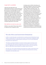#### Legal aid is available

Legal aid is free legal advice and representation for those in need funded by the government. Fortunately legal aid is available for immigration and nationality issues for children in care (and for asylum seekers or trafficking victims of any age), which means no solicitor fees. Legal aid advisers can be hard to find, especially in areas of the country with fewer legal firms. But doing research about local providers and building connections between children's services and legal firms or charities can make referring a child for free, competent legal advice much easier.

#### Get advice as soon as you can

Children in care under 18 have many options to regularise their immigration status,

including routes to British citizenship, and specialist immigration routes just for looked after children. But to make these options a reality, children need advice early – not when they are turning 18. Nationality and immigration issues can take years to resolve. Receiving and acting on early legal advice saves prolonging a sense of uncertainty or fear for the child. Early resolution of immigration and nationality issues also ensures that children in care are able to go on school trips abroad or on holiday abroad with foster parents. And it prevents older children in care and care leavers facing unnecessary complications when applying for jobs or seeking to attend university and obtain scholarships, grants, or loans, setting up a bank account, obtaining a driving licence, renting accommodation, or undertaking other activities that are important parts of normal life.

#### The role of the Local Government Ombudsman

In 2016, a London Borough was ordered by the Local Government Ombudsman to pay £5000 in compensation to a care leaver who turned 18 without her immigration status or citizenship having been addressed after several years in care. The LGO stated that the payment was made due to:

"the distress caused by the failure to provide consistent support and advice to her as a 'looked after child', and by the uncertainty caused that, if it were not for those faults, her application to the Home Office for leave to remain in the UK would have been as a child, which may have given her a greater chance of success".

Since this case, more undocumented young people have sought compensation from local authorities over failure to meet their corporate parenting duties by resolving immigration and nationality issues.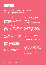# **O&A**

# with Sarika Kohli, solicitor, East Midlands Strategic Migration Partnership

#### What is your job?

I am a solicitor with a background in both immigration law and children's law, and work for the East Midlands Strategic Migration Partnership (SMP).

#### What does your role entail?

The primary focus of the role is to provide legal advice, guidance and training to children's social care and legal teams in relation to the local authorities' responsibility towards migrant children, care leavers and families with no recourse to public funds.

I provide advice across all children's services and their respective legal teams, as well as to the Family Court during care proceedings. Advice is provided to enable local authorities to promote good practice standards and consistency throughout the region. Support and guidance are provided to ensure assessments are robust and comply with both safeguarding and immigration laws to minimise the risks of legal challenge and judicial review proceedings.

My role is funded by the upper tier local authorities in the East Midlands.

### What are the advantages that you see to this way of working?

I was previously a part of an in-house legal team in a local authority, working within both immigration and children's law. My role now allows me to work with all the participating local authorities in the East Midlands. Working at a regional level ensures that children's social care teams receive consistent advice and support across the region. Developing regional policies and guidance contributes to a more streamlined approach and I can now reach a far wider audience across the East Midlands, which ultimately benefits more children and families.

### What difference do you think you have made so far?

Having experience in both areas of law has allowed me to advise and support children's social care teams on immigration matters as well as ensuring that they are compliant with their statutory duties towards children. My advice is well received, and I can see positive results across children's social care in terms of identifying children and young people with immigration issues and working towards resolving those issues.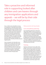Take a proactive and informed role in supporting looked after children and care leavers through any immigration applications and appeals – we will be by their side through the legal process

Once a child has been identified as having an immigration or nationality need, and has quality legal help, the local authority still has an important part to play. The child or young person is unlikely to understand the process they are going through and its implications, so their local authority should be able to help them by providing both information and practical support. This means ensuring that staff have some knowledge of the legal processes children and young people are going through so that they can take a proactive supporting role.

Some immigration and nationality issues will take years to resolve. But when social workers or personal advisers have a basic understanding of the process, this can empower both them and in turn the child or young person to be active participants: understanding deadlines, challenging poor practice or delay and advocating for themselves within the legal system.

Taking a proactive role: Key principles

# Care and pathway planning

Care and pathway planning are vital tools in safeguarding children and young people and enabling them to move towards independence. Discussions about immigration and nationality needs and processes can be fitted within existing care and pathway planning processes by adding them to existing planning templates. This gives the opportunity for records to be kept up-to-date, deadlines to be planned for, and important conversations about the implications of these processes to be had.

# **Training**

Training is at the heart of every pillar of the pledge. Social workers and personal advisers do not need to be legal experts, but having a general understanding of the immigration, asylum and nationality systems in the UK can empower them to support young people to understand and participate in these processes themselves, whilst advocating for them if anything goes wrong. The right training allows social workers to better identify children and young people in need, connect them with the right advice, proactively support them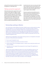and push for permanent solutions to a child's immigration or nationality issue.

### Taking a proactive approach

Informed and proactive support from social workers has led, again and again, to early resolution of status for non-British children. Taking a proactive approach means things like accompanying young people to solicitor appointments, Home Office interviews, and appeal hearings, and liaising with solicitors to keep track of applications so they are progressed appropriately. Proactive

involvement also means securing extra help when needed; strong communication and support links with specialist organisations in the local area help young people to access expert support where needed.

However, proactive local authority care is about more than the individual actions of social workers and personal advisers. It means having the management oversight of immigration and nationality issues in the same way as with other corporate parenting duties that intersect with other government departments.

# Partnership working in Merton

Since 2018 South London Refugee Association (SLRA) has been working with the London Borough of Merton on an early intervention project. Through this project, SLRA has provided both casework for individual children and young people and advice to social workers and personal advisers. Having a ready source of specialist advice has been an effective way of upskilling workers, embedding knowledge within the local authority, and creating a strong referral pathway for SLRA to support young people with the most complex immigration issues.

SLRA has also provided Merton with regular training sessions on immigration and asylum processes so that professionals understand:

how to spot immigration issues

when to seek legal representation and where to find it

what to expect from an immigration adviser / solicitor, how to spot poor practice, and how to complain

what they can do to support the young person at each stage of the application or appeals process.

"Since we have had this additional support we've seen the significant impact we can have on the immigration outcomes for our young people. The immigration system shouldn't be a lottery and so as corporate parents we need to know how to navigate it. The training, advice, and support we have received from SLRA has given our workers this knowledge, and the confidence to play an active role in supporting our young people through the immigration process, so that they know what they can do and when, and when to ask for help." (Lisa Morris, Service Manager)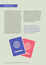# Noel's story

Noel, originally from Albania, claimed asylum in the UK when he was 15. He had just turned 17 when his asylum claim was refused by the Home Office and he was granted just six months' temporary leave to remain instead. His solicitors (incorrectly) told him that he did not have the right to appeal, and that he was lucky to have received any kind of permission to stay at all. Luckily for Noel, his foster carer Katie attended this meeting with his solicitor and thought that their advice did not sound right. She had supported lots of other young people seeking asylum and had attended a training session where she was told that there was usually a right of appeal against the first Home Office refusal, and that it was important to appeal within a tight deadline. Based on her doubts, Noel's social worker contacted a local specialist advice agency who confirmed that Noel did have the right of appeal. The

specialists helped him to complain and move to another solicitor. Noel won his appeal and was granted refugee status six months later, shortly before he turned 18. The proactive support of his foster carer and social worker safeguarded his future in the UK, saving him years of limbo and uncertainty. This intervention also had a huge financial benefit for the local authority, as Noel could now claim benefits and move towards living independently.

"Just because my foster carer cared, understood enough, and kept her eyes open meant that I got the help I needed at the right time. The truth is this totally shifted the course of my life" (Noel)

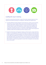

### Leading the way in training

Across the country there have been a range of innovative regional responses to the need for local authority training on immigration, nationality and related issues:

The West Midlands Strategic Migration Partnership has created a suite of training delivered by a range of experts that is open to local authority staff and others working with them to safeguard children. Training is provided on migrant and refugee children's rights and entitlements, modern slavery and trafficking, the care system and age assessments. The training is multidisciplinary and targets healthcare and education agencies as well as the wider children and young person workforce within the local authority and the voluntary sector.

Under the Citizenship and Integration Initiative and the Greater London Authority's children in care programme, the GLA and the Mayor of London are delivering a pan-London programme of training, guidance and capacity-building to local authorities on the rights and entitlements of children in care and care leavers with immigration and nationality needs. The training focuses on the importance of early identification and resolution of immigration issues, and aims to provide local authorities with the skills needed to support young people to resolve their immigration and nationality issues more quickly.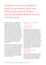# Enable those who are eligible to apply for permanent status and British citizenship; all children and young people deserve security and belonging

We know that children and young people who receive excellent local authority care benefit from enhanced security, stability, and feelings of belonging. But no matter the quality of care a child receives, temporary forms of immigration status can undermine these benefits, and a lack of any immigration status or citizenship at all can destroy them. Young people stuck in the limbo of temporary forms of immigration status can suffer from enormous amounts of stress and uncertainty. After all, a child or young person's immigration status and citizenship determines their access to student finance, mainstream benefits and right to work. Temporary status can always be lost, and when that happens a young person also loses their means of living an independent life.

Each child's case is different. British citizenship is the most secure form of status you can have in the UK, and it should always be considered, even if there are occasional individual cases where it is not the best option for a specific child or young person. It will not be possible for all looked after children and care leavers to become British. In such cases, permanent status (indefinite leave to remain) still gives many advantages, such as access to benefits and a sense of security.

Permanent status and citizenship: Key principles

# Temporary status is not enough

Any temporary form of immigration status means a child must live with the risk of losing their status if they or their guardian does not renew it within tight Home Office deadlines. In some cases temporary forms of immigration status are long, sometimes expensive pathways to permanent status. But the temporary status for children refused asylum (such as was given to Noel, above, for example) is not a pathway to permanent status but instead is a temporary measure designed to allow them to remain in the UK only until they turn 18. This uncertainty makes it difficult for young people in care to plan for their futures. Most forms of temporary status also bar access to benefits; this presents a serious problem for care leavers and their local authorities.

# Citizenship has many advantages

There is a common misconception that British citizenship is solely for obtaining a passport to travel. In fact, it is often in the best interests of a child living in the UK to obtain British citizenship as early as possible. Children in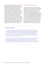care may have routes to British citizenship that provide an alternative to long and insecure immigration routes, but some of these routes only last until a child turns 18. Citizenship has other benefits too, including being much harder to take away (for example, if a young person commits a criminal offence), the right to vote, and the right to leave the UK without the risk of losing the ability to live here. An application for citizenship for a child comes with an up-front cost, which is currently £1012 in Home Office fees for children (£84 per month for a year). But paying this fee can save a local authority a significant amount of money later see the cost analysis figures on pages 16-18 for an illustration of savings of over £130,000.

#### Identity and belonging

Every child is unique, and nationality raises complex questions in relation to their identity, development, choices and future. For some children, not being British can take away from their sense of belonging within their community and amongst their peers. A child's wishes and feelings about their identity should always be central to the question of whether or not British citizenship is right for them. In the end, a citizenship fee may be a small price to pay for a child to feel like they belong and to ensure that they never face the precarity and hardships that can come with lack of citizenship of the country in which they live.

### Dual nationality

The UK allows its citizens to hold multiple nationalities, meaning that a person can be a citizen of (and hold passports from) several countries. However, not all countries allow this. It is important to consider whether obtaining British citizenship would have an effect on the other citizenship a child may hold before a British citizenship application is made. In cases where another citizenship might be lost, legal advice must be sought, and parental consent is key.

Even in cases where there are barriers to a child becoming British, citizenship should still be considered against a child's other options. Whether or not a child should become British should always be a question of what is in their best interests; barriers can normally be overcome through legal advice and the Family Court where they exist.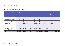# Cost analysis

#### Scenario 1: Immigration application made aged 18

| Costs to local authority                              | <b>Current year</b>                                   | $CY + 1$              | $CY+2$     | $CY + 3$                         | $CY +4$    | $CY + 5$   | $CY + 6$                               |             |
|-------------------------------------------------------|-------------------------------------------------------|-----------------------|------------|----------------------------------|------------|------------|----------------------------------------|-------------|
|                                                       | <b>Child leaves</b><br>care, application<br>submitted | Immigration<br>appeal |            | Immigration<br>status<br>renewal |            |            | Application<br>for settlement<br>(ILR) |             |
| Home Office fee                                       | £1033.00                                              | $E-$                  | $E-$       | £1033.00                         | $f -$      | $f -$      | £2389.00                               |             |
| Immigration health surcharge                          | £1560.00                                              | $E-$                  | $f -$      | £1560.00                         | $f -$      | $f -$      | $f -$                                  |             |
| British citizenship fee                               | $f -$                                                 | $E-$                  | $f -$      | $E-$                             | $f -$      | $f -$      | $f -$                                  |             |
| Solicitors' fees                                      | £1500.00                                              | £2000.00              | $f -$      | £1500.00                         | $f -$      | $f -$      | £1800.00                               |             |
| Barristers' fees                                      | $f -$                                                 | £1000.00              | $f -$      | $f -$                            | $f -$      | $f -$      | $f -$                                  |             |
| Immigration court fees                                | $f -$                                                 | £140.00               | $f -$      | $E-$                             | $f -$      | $f -$      | $f -$                                  |             |
| Cost of living support<br>(not eligible for benefits) | £18,897.00                                            | £18,915.90            | £18,934.81 | £18,953.75                       | £18,972.70 | £18,991.67 | £9505.33                               |             |
| <b>Total costs</b>                                    | £22,990.00                                            | £22,055.90            | £18,934.81 | £23,046.75                       | £18,972.70 | £18,991.67 | £13,694.33                             | £138,686.17 |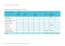# Cost analysis (continued)

| Costs to local authority                              | <b>Current year</b>      | $CY + 1$              | $CY + 2$ | $CY + 3$                         | $CY +4$ | $CY + 5$                    | $CY + 6$                               |            |
|-------------------------------------------------------|--------------------------|-----------------------|----------|----------------------------------|---------|-----------------------------|----------------------------------------|------------|
|                                                       | Application<br>submitted | Immigration<br>appeal |          | Immigration<br>status<br>renewal |         | <b>Child leaves</b><br>care | Application<br>for settlement<br>(ILR) |            |
| Home Office fee<br>(LAC fee exemption)                | $f -$                    | $f -$                 | $f -$    | $f -$                            | $f -$   | $f -$                       | £2389.00                               |            |
| Immigration health surcharge<br>(LAC fee exemption)   | $E-$                     | $f -$                 | $f -$    | $f -$                            | $f -$   | $f -$                       | $f -$                                  |            |
| British citizenship fee                               | $f -$                    | $f -$                 | $f -$    | $f -$                            | $f -$   | $f -$                       | $f -$                                  |            |
| Solicitors' fees                                      | $f -$                    | $f -$                 | $f -$    | $f -$                            | $f -$   | $f -$                       | £1800.00                               |            |
| Barristers' fees                                      | $E-$                     | $f -$                 | $f -$    | $f -$                            | $f -$   | $f -$                       | $f -$                                  |            |
| Immigration court fees                                | $f -$                    | $f -$                 | $f -$    | $f -$                            | $f -$   | $f -$                       | $f -$                                  |            |
| Cost of living support<br>(not eligible for benefits) | n/a                      | n/a                   | n/a      | n/a                              | n/a     | £18,991.67                  | £9495.84                               |            |
| <b>Total costs</b>                                    | $f -$                    | $f -$                 | $f -$    | $E-$                             | $f -$   | £18,991.67                  | £13,684.84                             | £32,676.51 |

#### Scenario 2: Immigration application made aged 13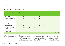### Cost analysis (continued)

| Costs to local authority                               | <b>Current year</b>      | $CY + 1$ | $CY + 2$ | $CY + 3$ | $CY +4$ | $CY + 5$                    | $CY + 6$ |          |
|--------------------------------------------------------|--------------------------|----------|----------|----------|---------|-----------------------------|----------|----------|
|                                                        | Application<br>submitted |          |          |          |         | <b>Child leaves</b><br>care |          |          |
| Home Office fee                                        | $f -$                    | $f -$    | $f -$    | $f -$    | $f -$   | $E-$                        | $f -$    |          |
| Immigration health surcharge                           | $f -$                    | $E-$     | $f -$    | $f -$    | $f -$   | $E-$                        | $f -$    |          |
| British citizenship fee                                | £1012.00                 | $f -$    | $f -$    | $f -$    | $f -$   | $E-$                        | $f -$    |          |
| Solicitors' fees                                       | $f -$                    | $f -$    | $f -$    | $f -$    | $f -$   | $f -$                       | $f -$    |          |
| Barristers' fees                                       | $f -$                    | $f -$    | $f -$    | $f -$    | $E-$    | $f -$                       | $f -$    |          |
| Immigration court fees                                 | $f -$                    | $f -$    | $f -$    | $f -$    | $f -$   | $f -$                       | $f -$    |          |
| Rent (eligible for benefits<br>as British citizen)     | n/a                      | n/a      | n/a      | n/a      | n/a     | $f -$                       | $f -$    |          |
| Benefits (eligible for benefits<br>as British citizen) | n/a                      | n/a      | n/a      | n/a      | n/a     | $f -$                       | $f -$    |          |
| <b>Total costs</b>                                     | £1012.00                 | $f -$    | $f -$    | $f -$    | $f -$   | $E -$                       | $E -$    | £1012.00 |

#### Scenario 3: Citizenship application made aged 13

SCENARIO

The three scenarios here are based on Aisha's story at the beginning of this report. Scenario 1 is what actually happened in her case.

NOTES

- The immigration status leave to remain does not generally grant access to benefits. • Looked after children are exempt from paying Home Office immigration fees and the immigration
- health surcharge. • Looked after children can normally get legal aid for any immigration or citizenship application, so solicitors' fees for under 18s are £0.
- Solicitors' and barristers' fees are assumed at a fixed rate based on our caseworking experience. More complex legal cases would bring higher fees.
- It is assumed the applicant is granted limited leave under the Immigration Rules for 2.5 years, renews once, and then applies for ILR after five years under the 2021 concession to the ten-year route.
- Cost of living is real data taken from the NRPF Connect database: the average actual support for a care leaver without access to public funds.
- It is assumed that the cost of living will rise by 1% per year.
- In CY +6 it is assumed ILR is granted after six months and the young person gains access to mainstream support.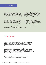# Tomas's story

Tomas was born in Angola to an Angolan mother, but has lived in the UK since he was a baby. He was taken into care when he was five. When he was aged 11 in 2020 his social worker was tasked with finding all the children she supported who needed to apply to the EU settlement scheme. Tomas was not from an EU country, but he was not British either, so at the same time as making applications to the EU settlement scheme for other children, Tomas's social worker asked a legal specialist about what to do in his case. The legal specialist identified that Tomas was probably in the UK without any immigration status. However, because he was growing up in the UK in care

he had a strong claim to British citizenship. The local authority agreed to pay the £1012 fee to the Home Office to apply to register Tomas as a British citizen, and the Home Office granted British citizenship. Tomas will spend the rest of his childhood in care, but will not have to worry about his immigration status or citizenship. When he leaves care aged 18 he will be able to study, work, and build an independent life without any immigration or citizenship barrier, all because his local authority took action to resolve his immigration issue early on. In doing so, the local authority have saved an estimated £130,000.

# What next

We recognise that many local authorities may be near the beginning of a journey to build systems and new practices which meet the specific needs of non-British children. Signing the immigration support pledge is an important first step.

The organisations which have endorsed this pledge are sources of practical support, information and advice for both local authority leadership and frontline staff. This support and guidance is available to any local authority interested in signing the pledge and on that basis implementing changes to how they meet the needs of non-British children.

For more information about the pledge and support in implementing it, please contact Maya Pritchard, Youth Casework and Policy Manager at South London Refugee Association (maya@slr-a.org.uk).